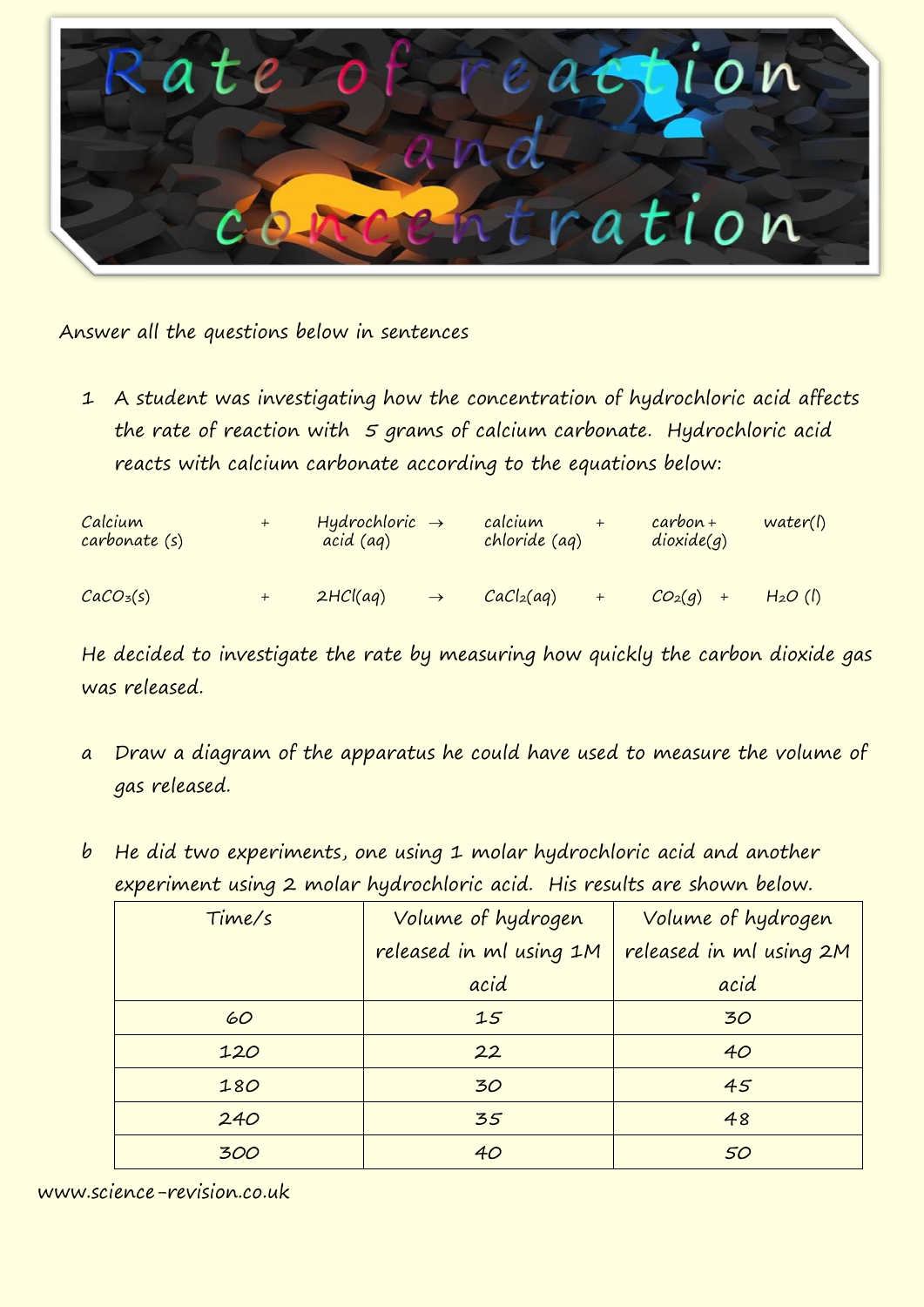

Answer all the questions below in sentences

1 A student was investigating how the concentration of hydrochloric acid affects the rate of reaction with  $5$  grams of calcium carbonate. Hydrochloric acid reacts with calcium carbonate according to the equations below:

| Calcium<br>carbonate (s) | $Hydrochloric \rightarrow$<br>acid (ag) |               | calcium<br>chloride (ag) |     | $carbon+$<br>dioxide(q) | water()   |
|--------------------------|-----------------------------------------|---------------|--------------------------|-----|-------------------------|-----------|
| CaCO <sub>3</sub> (s)    | 2HCl(aq)                                | $\rightarrow$ | CaCl <sub>2</sub> (aq)   | $+$ | $CO_2(q)$ +             | $H2O$ (f) |

He decided to investigate the rate by measuring how quickly the carbon dioxide gas was released.

- a Draw a diagram of the apparatus he could have used to measure the volume of gas released.
- b He did two experiments, one using 1 molar hydrochloric acid and another experiment using 2 molar hydrochloric acid. His results are shown below.

| Time/s | Volume of hydrogen      | Volume of hydrogen      |  |  |
|--------|-------------------------|-------------------------|--|--|
|        | released in ml using 1M | released in ml using 2M |  |  |
|        | acid                    | acid                    |  |  |
| 60     | 15                      | 30                      |  |  |
| 120    | 22                      | 40                      |  |  |
| 180    | 30                      | 45                      |  |  |
| 240    | 35                      | 48                      |  |  |
| 300    | 40                      | 50                      |  |  |

www.science-revision.co.uk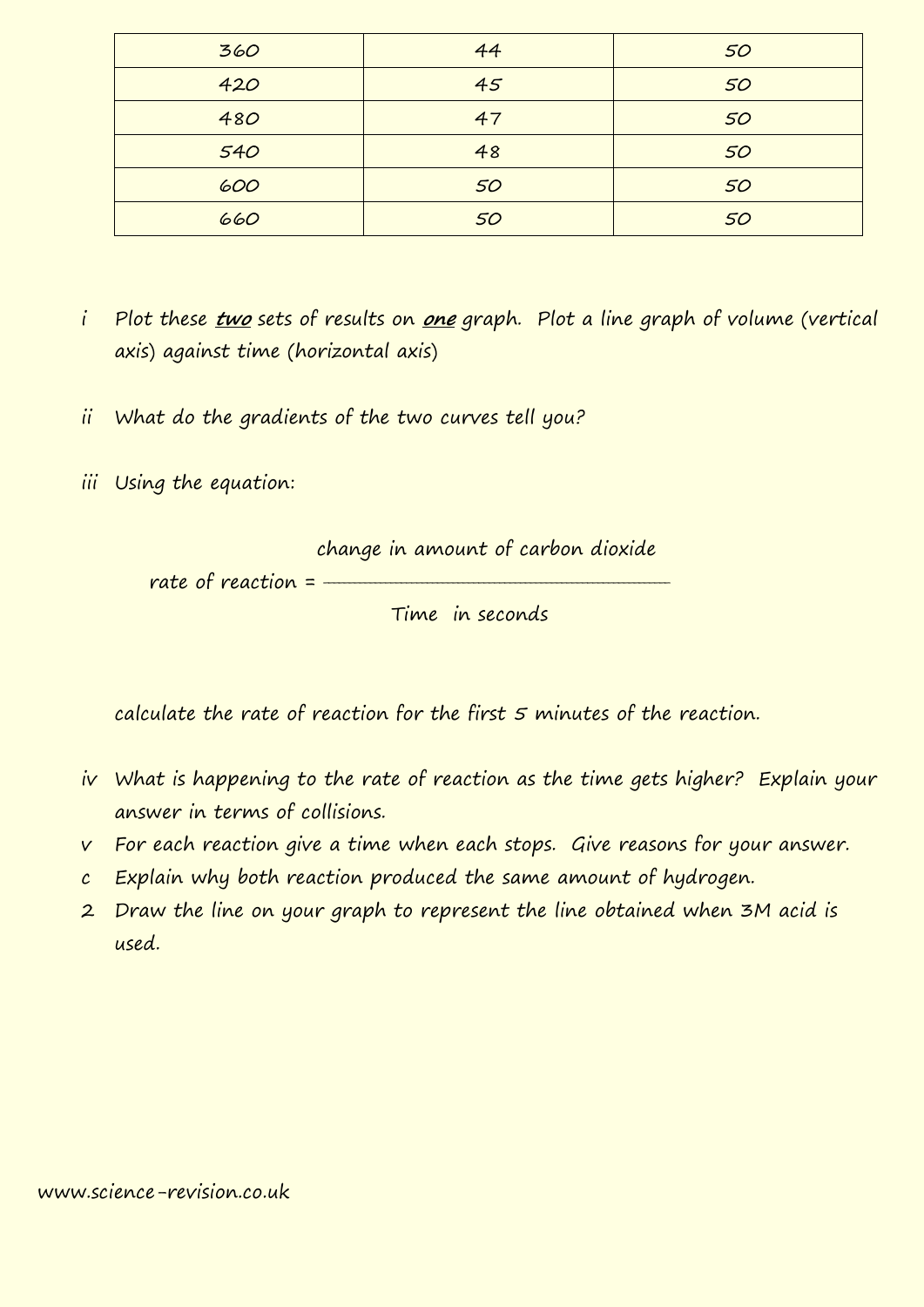| 360 | 44 | 50 |
|-----|----|----|
| 420 | 45 | 50 |
| 480 | 47 | 50 |
| 540 | 48 | 50 |
| 600 | 50 | 50 |
| 660 | 50 | 50 |

- i Plot these **two** sets of results on **one** graph. Plot a line graph of volume (vertical axis) against time (horizontal axis)
- ii What do the gradients of the two curves tell you?
- iii Using the equation:



calculate the rate of reaction for the first 5 minutes of the reaction.

- iv What is happening to the rate of reaction as the time gets higher? Explain your answer in terms of collisions.
- v For each reaction give a time when each stops. Give reasons for your answer.
- c Explain why both reaction produced the same amount of hydrogen.
- 2 Draw the line on your graph to represent the line obtained when 3M acid is used.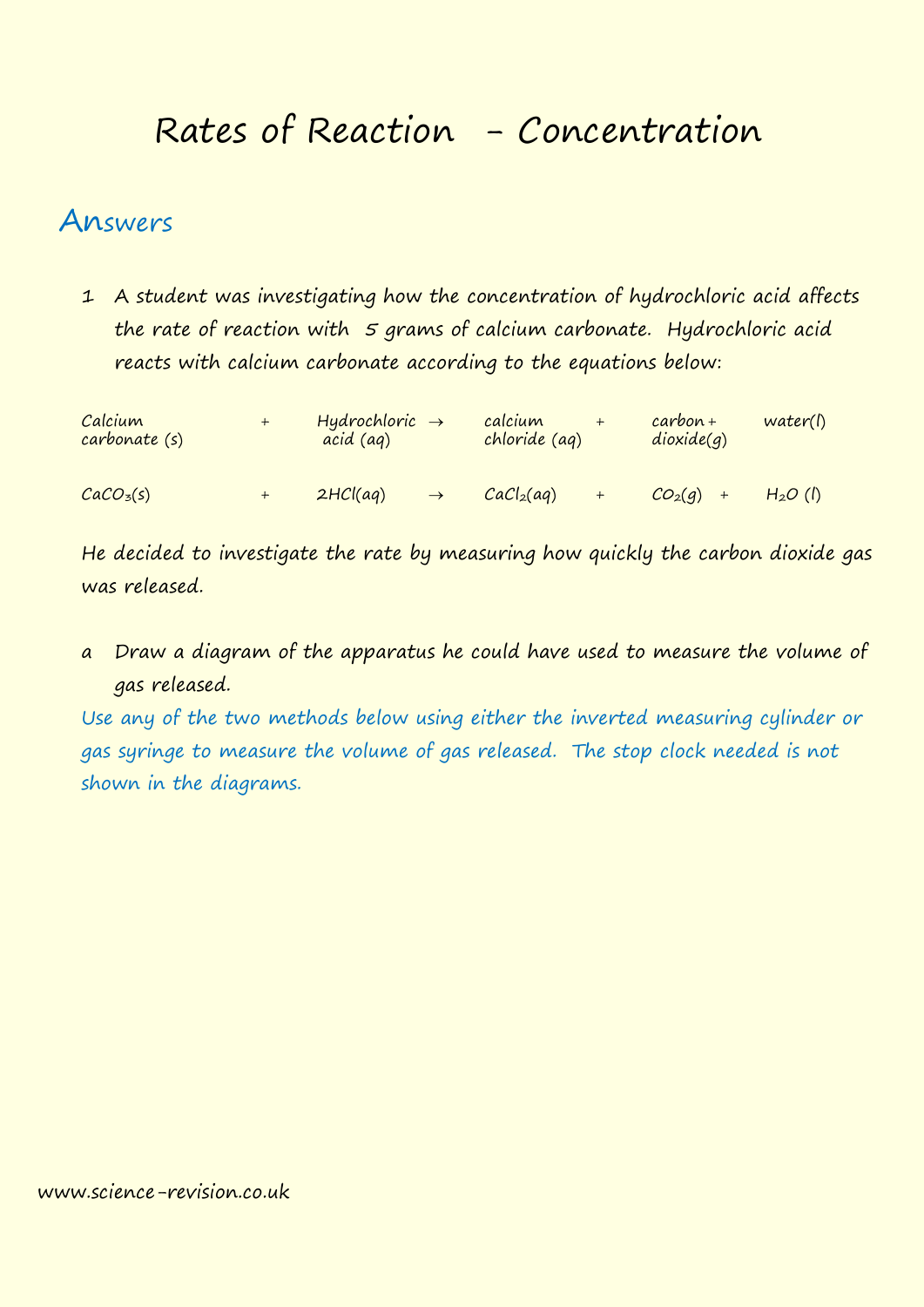## Rates of Reaction - Concentration

## Answers

1 A student was investigating how the concentration of hydrochloric acid affects the rate of reaction with  $5$  grams of calcium carbonate. Hydrochloric acid reacts with calcium carbonate according to the equations below:

| Calcium<br>carbonate (s) | $\bm{+}$ | Hydrochloric $\rightarrow$<br>acid (ag) |               | calcium<br>chloride (ag) |     | $carbon+$<br>dioxide(q) | water(l)  |
|--------------------------|----------|-----------------------------------------|---------------|--------------------------|-----|-------------------------|-----------|
| CaCO <sub>3</sub> (s)    | $+$      | 2HCl(aq)                                | $\rightarrow$ | CaCl <sub>2</sub> (aq)   | $+$ | $CO_2(q)$ +             | $H2O$ (l) |

He decided to investigate the rate by measuring how quickly the carbon dioxide gas was released.

a Draw a diagram of the apparatus he could have used to measure the volume of gas released.

Use any of the two methods below using either the inverted measuring cylinder or gas syringe to measure the volume of gas released. The stop clock needed is not shown in the diagrams.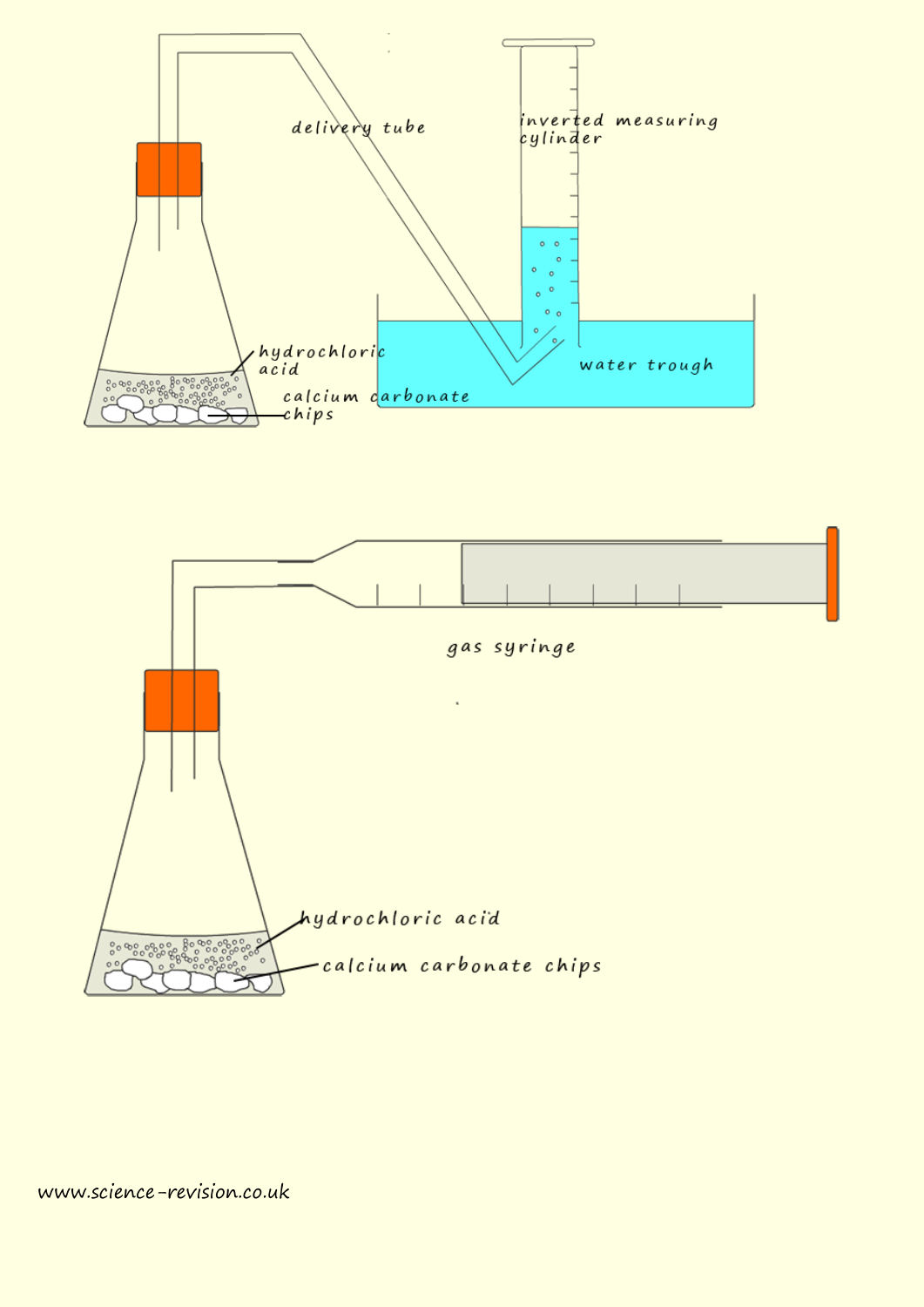

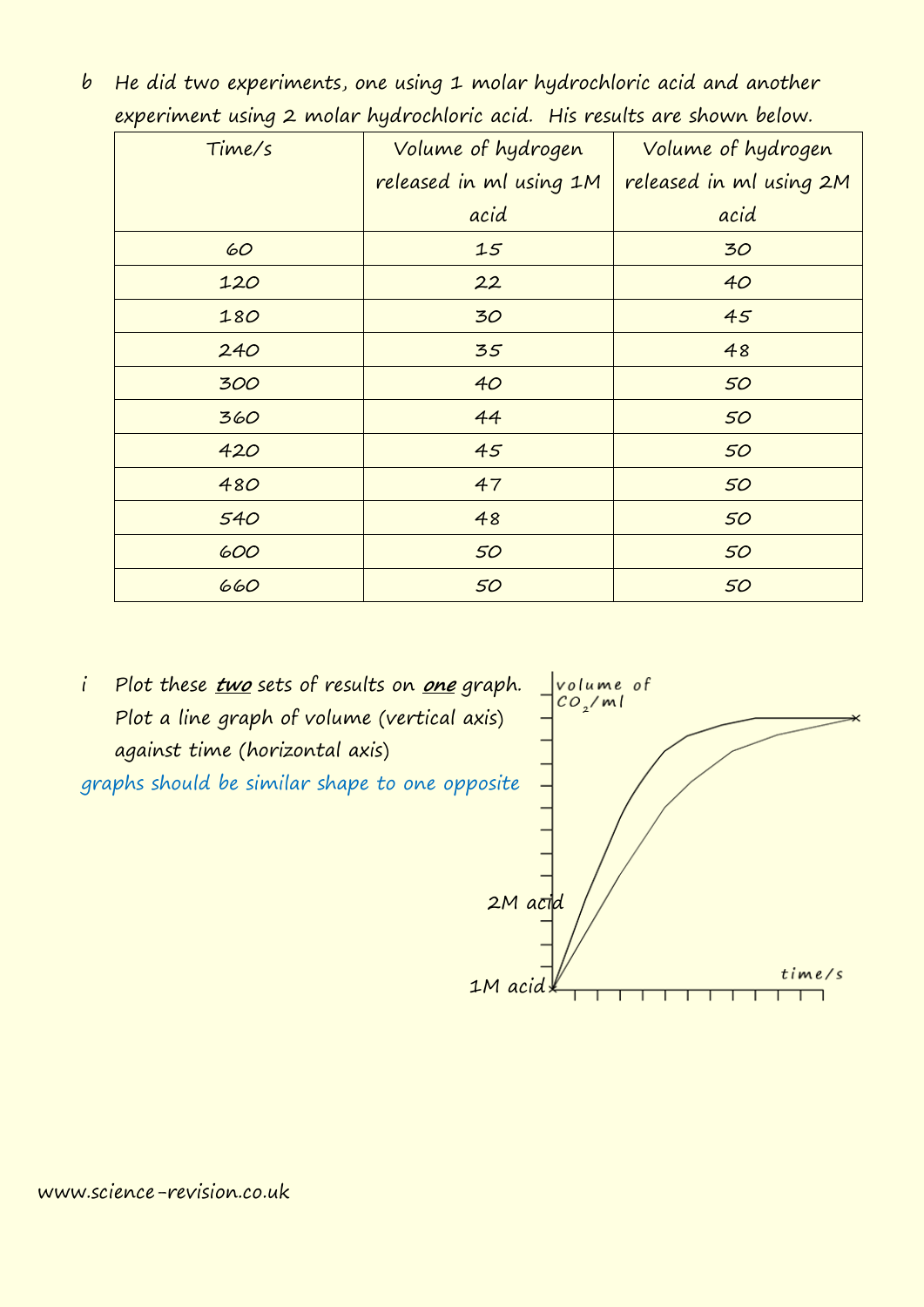| Time/s | Volume of hydrogen      | Volume of hydrogen      |  |  |
|--------|-------------------------|-------------------------|--|--|
|        | released in ml using 1M | released in ml using 2M |  |  |
|        | acid                    | acid                    |  |  |
| 60     | 15                      | 30                      |  |  |
| 120    | 22                      | 40                      |  |  |
| 180    | 30                      | 45                      |  |  |
| 240    | 35                      | 48                      |  |  |
| 300    | 40                      | 50                      |  |  |
| 360    | 44                      | 50                      |  |  |
| 420    | 45                      | 50                      |  |  |
| 480    | 47                      | 50                      |  |  |
| 540    | 48                      | 50                      |  |  |
| 600    | 50                      | 50                      |  |  |
| 660    | 50                      | 50                      |  |  |

b He did two experiments, one using 1 molar hydrochloric acid and another experiment using 2 molar hydrochloric acid. His results are shown below.

i Plot these **two** sets of results on **one** graph. Plot a line graph of volume (vertical axis) against time (horizontal axis) graphs should be similar shape to one opposite



www.science-revision.co.uk